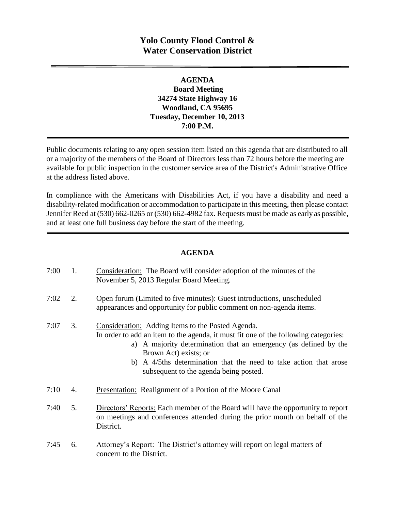# **Yolo County Flood Control & Water Conservation District**

### **AGENDA Board Meeting 34274 State Highway 16 Woodland, CA 95695 Tuesday, December 10, 2013 7:00 P.M.**

Public documents relating to any open session item listed on this agenda that are distributed to all or a majority of the members of the Board of Directors less than 72 hours before the meeting are available for public inspection in the customer service area of the District's Administrative Office at the address listed above*.* 

In compliance with the Americans with Disabilities Act, if you have a disability and need a disability-related modification or accommodation to participate in this meeting, then please contact Jennifer Reed at (530) 662-0265 or (530) 662-4982 fax. Requests must be made as early as possible, and at least one full business day before the start of the meeting.

#### **AGENDA**

| 7:00 | 1. | <b>Consideration:</b> The Board will consider adoption of the minutes of the<br>November 5, 2013 Regular Board Meeting.                                                                                                                                                                                                                              |
|------|----|------------------------------------------------------------------------------------------------------------------------------------------------------------------------------------------------------------------------------------------------------------------------------------------------------------------------------------------------------|
| 7:02 | 2. | Open forum (Limited to five minutes): Guest introductions, unscheduled<br>appearances and opportunity for public comment on non-agenda items.                                                                                                                                                                                                        |
| 7:07 | 3. | Consideration: Adding Items to the Posted Agenda.<br>In order to add an item to the agenda, it must fit one of the following categories:<br>a) A majority determination that an emergency (as defined by the<br>Brown Act) exists; or<br>b) A 4/5ths determination that the need to take action that arose<br>subsequent to the agenda being posted. |
| 7:10 | 4. | <b>Presentation:</b> Realignment of a Portion of the Moore Canal                                                                                                                                                                                                                                                                                     |
| 7:40 | 5. | Directors' Reports: Each member of the Board will have the opportunity to report<br>on meetings and conferences attended during the prior month on behalf of the<br>District.                                                                                                                                                                        |
| 7:45 | 6. | Attorney's Report: The District's attorney will report on legal matters of<br>concern to the District.                                                                                                                                                                                                                                               |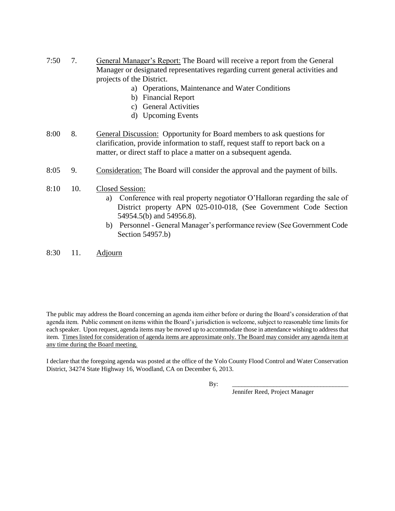- 7:50 7. General Manager's Report: The Board will receive a report from the General Manager or designated representatives regarding current general activities and projects of the District.
	- a) Operations, Maintenance and Water Conditions
	- b) Financial Report
	- c) General Activities
	- d) Upcoming Events
- 8:00 8. General Discussion: Opportunity for Board members to ask questions for clarification, provide information to staff, request staff to report back on a matter, or direct staff to place a matter on a subsequent agenda.
- 8:05 9. Consideration: The Board will consider the approval and the payment of bills.
- 8:10 10. Closed Session:
	- a) Conference with real property negotiator O'Halloran regarding the sale of District property APN 025-010-018, (See Government Code Section 54954.5(b) and 54956.8).
	- b) Personnel General Manager's performance review (See Government Code Section 54957.b)
- 8:30 11. Adjourn

The public may address the Board concerning an agenda item either before or during the Board's consideration of that agenda item. Public comment on items within the Board's jurisdiction is welcome, subject to reasonable time limits for each speaker. Upon request, agenda items may be moved up to accommodate those in attendance wishing to address that item. Times listed for consideration of agenda items are approximate only. The Board may consider any agenda item at any time during the Board meeting.

I declare that the foregoing agenda was posted at the office of the Yolo County Flood Control and Water Conservation District, 34274 State Highway 16, Woodland, CA on December 6, 2013.

By: \_\_\_\_\_\_\_\_\_\_\_\_\_\_\_\_\_\_\_\_\_\_\_\_\_\_\_\_\_\_\_\_\_\_\_\_\_

Jennifer Reed, Project Manager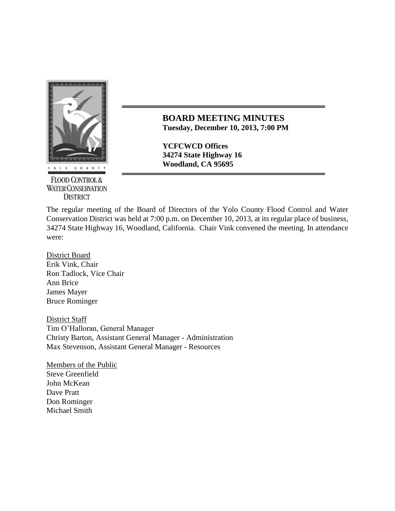

**FLOOD CONTROL & WATER CONSERVATION DISTRICT** 

**BOARD MEETING MINUTES Tuesday, December 10, 2013, 7:00 PM**

**YCFCWCD Offices 34274 State Highway 16**

The regular meeting of the Board of Directors of the Yolo County Flood Control and Water Conservation District was held at 7:00 p.m. on December 10, 2013, at its regular place of business, 34274 State Highway 16, Woodland, California. Chair Vink convened the meeting. In attendance were:

District Board Erik Vink, Chair Ron Tadlock, Vice Chair Ann Brice James Mayer Bruce Rominger

District Staff Tim O'Halloran, General Manager Christy Barton, Assistant General Manager - Administration Max Stevenson, Assistant General Manager - Resources

Members of the Public Steve Greenfield John McKean Dave Pratt Don Rominger Michael Smith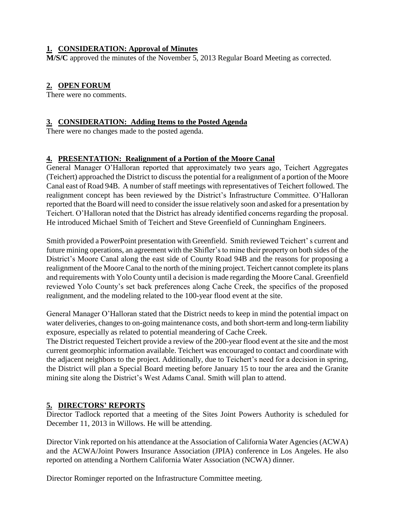### **1. CONSIDERATION: Approval of Minutes**

**M/S/C** approved the minutes of the November 5, 2013 Regular Board Meeting as corrected.

# **2. OPEN FORUM**

There were no comments.

### **3. CONSIDERATION: Adding Items to the Posted Agenda**

There were no changes made to the posted agenda.

## **4. PRESENTATION: Realignment of a Portion of the Moore Canal**

General Manager O'Halloran reported that approximately two years ago, Teichert Aggregates (Teichert) approached the District to discuss the potential for a realignment of a portion of the Moore Canal east of Road 94B. A number of staff meetings with representatives of Teichert followed. The realignment concept has been reviewed by the District's Infrastructure Committee. O'Halloran reported that the Board will need to consider the issue relatively soon and asked for a presentation by Teichert. O'Halloran noted that the District has already identified concerns regarding the proposal. He introduced Michael Smith of Teichert and Steve Greenfield of Cunningham Engineers.

Smith provided a PowerPoint presentation with Greenfield. Smith reviewed Teichert' s current and future mining operations, an agreement with the Shifler's to mine their property on both sides of the District's Moore Canal along the east side of County Road 94B and the reasons for proposing a realignment of the Moore Canal to the north of the mining project. Teichert cannot complete its plans and requirements with Yolo County until a decision is made regarding the Moore Canal. Greenfield reviewed Yolo County's set back preferences along Cache Creek, the specifics of the proposed realignment, and the modeling related to the 100-year flood event at the site.

General Manager O'Halloran stated that the District needs to keep in mind the potential impact on water deliveries, changes to on-going maintenance costs, and both short-term and long-term liability exposure, especially as related to potential meandering of Cache Creek.

The District requested Teichert provide a review of the 200-year flood event at the site and the most current geomorphic information available. Teichert was encouraged to contact and coordinate with the adjacent neighbors to the project. Additionally, due to Teichert's need for a decision in spring, the District will plan a Special Board meeting before January 15 to tour the area and the Granite mining site along the District's West Adams Canal. Smith will plan to attend.

## **5. DIRECTORS' REPORTS**

Director Tadlock reported that a meeting of the Sites Joint Powers Authority is scheduled for December 11, 2013 in Willows. He will be attending.

Director Vink reported on his attendance at the Association of California Water Agencies (ACWA) and the ACWA/Joint Powers Insurance Association (JPIA) conference in Los Angeles. He also reported on attending a Northern California Water Association (NCWA) dinner.

Director Rominger reported on the Infrastructure Committee meeting.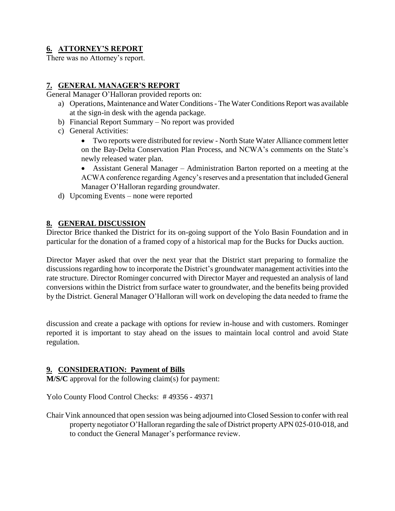# **6. ATTORNEY'S REPORT**

There was no Attorney's report.

### **7. GENERAL MANAGER'S REPORT**

General Manager O'Halloran provided reports on:

- a) Operations, Maintenance and Water Conditions The Water Conditions Report was available at the sign-in desk with the agenda package.
- b) Financial Report Summary No report was provided
- c) General Activities:
	- Two reports were distributed for review North State Water Alliance comment letter on the Bay-Delta Conservation Plan Process, and NCWA's comments on the State's newly released water plan.
	- Assistant General Manager Administration Barton reported on a meeting at the ACWA conference regarding Agency's reserves and a presentation that included General Manager O'Halloran regarding groundwater.
- d) Upcoming Events none were reported

#### **8. GENERAL DISCUSSION**

Director Brice thanked the District for its on-going support of the Yolo Basin Foundation and in particular for the donation of a framed copy of a historical map for the Bucks for Ducks auction.

Director Mayer asked that over the next year that the District start preparing to formalize the discussions regarding how to incorporate the District's groundwater management activities into the rate structure. Director Rominger concurred with Director Mayer and requested an analysis of land conversions within the District from surface water to groundwater, and the benefits being provided by the District. General Manager O'Halloran will work on developing the data needed to frame the

discussion and create a package with options for review in-house and with customers. Rominger reported it is important to stay ahead on the issues to maintain local control and avoid State regulation.

### **9. CONSIDERATION: Payment of Bills**

**M/S/C** approval for the following claim(s) for payment:

Yolo County Flood Control Checks: # 49356 - 49371

Chair Vink announced that open session was being adjourned into Closed Session to confer with real property negotiator O'Halloran regarding the sale of District property APN 025-010-018, and to conduct the General Manager's performance review.